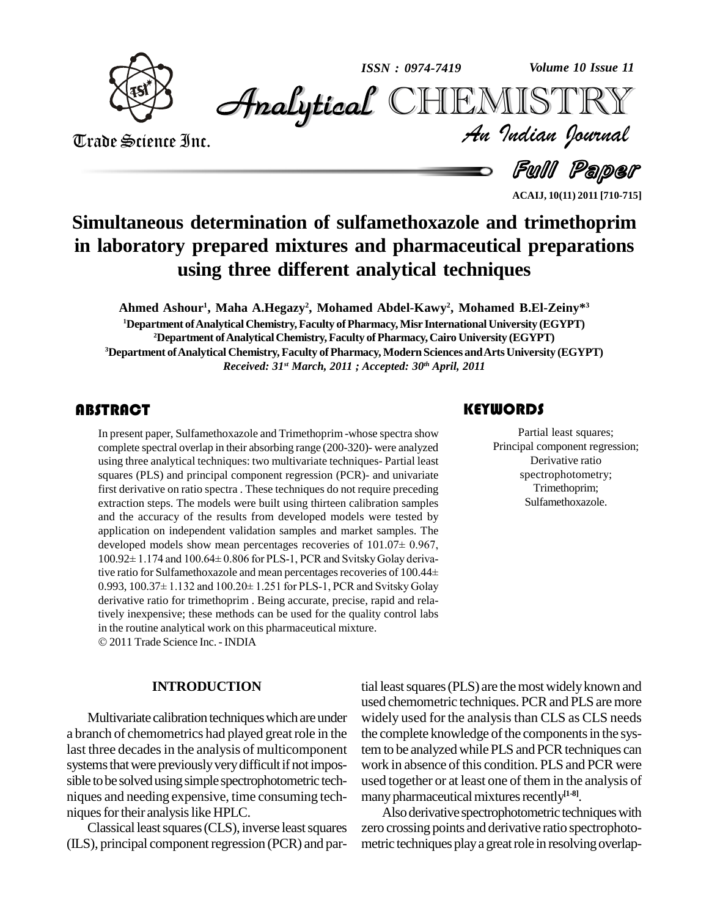

*Volume 10 Issue 11*



Trade Science Inc. Trade Science Inc.

*Volume 10 Issue 11*<br>IISTRY<br>*Indian Iournal* 

**Full Paper** 

**ACAIJ, 10(11) 2011 [710-715]**

## **Simultaneous determination of sulfamethoxazole and trimethoprim in laboratory prepared mixtures and pharmaceutical preparations using three different analytical techniques**

**Ahmed Ashour 1 , Maha A.Hegazy 2 , Mohamed Abdel-Kawy 2 , Mohamed B.El-Zeiny\* 3**

**<sup>1</sup>Department ofAnalyticalChemistry,Faculty ofPharmacy,Misr InternationalUniversity (EGYPT) <sup>2</sup>Department ofAnalyticalChemistry,Faculty ofPharmacy,Cairo University (EGYPT) <sup>3</sup>Department ofAnalytical Chemistry, Faculty ofPharmacy, Modern Sciences andArtsUniversity (EGYPT)**

*Received: 31 st March, 2011 ; Accepted: 30 th April, 2011*

#### **ABSTRACT**

In present paper, Sulfame<br>complete spectral overlap<br>using three analytical tec In present paper, Sulfamethoxazole and Trimethoprim-whose spectra show complete spectral overlap in their absorbing range (200-320)- were analyzed using three analytical techniques: two multivariate techniques- Partial least squares (PLS) and principal component regression (PCR)- and univariate first derivative on ratio spectra . These techniques do not require preceding extraction steps. The models were built using thirteen calibration samples and the accuracy of the results from developed models were tested by application on independent validation samples and market samples. The developed models show mean percentages recoveries of  $101.07\pm 0.967$ , application on independent validation samples and market samples. The developed models show mean percentages recoveries of  $101.07 \pm 0.967$ ,  $100.92 \pm 1.174$  and  $100.64 \pm 0.806$  for PLS-1, PCR and Svitsky Golay derivadeveloped models show mean percentages recoveries of 101.07± 0.967,<br>100.92± 1.174 and 100.64± 0.806 for PLS-1, PCR and Svitsky Golay deriva-<br>tive ratio for Sulfamethoxazole and mean percentages recoveries of 100.44± 100.92± 1.174 and 100.64± 0.806 for PLS-1, PCR and Svitsky Golay derivative ratio for Sulfamethoxazole and mean percentages recoveries of 100.44±<br>0.993, 100.37± 1.132 and 100.20± 1.251 for PLS-1, PCR and Svitsky Golay derivative ratio for trimethoprim . Being accurate, precise, rapid and relatively inexpensive; these methods can be used for the quality control labs in the routine analytical work on this pharmaceutical mixture. 2011 Trade Science Inc. -INDIA

#### **INTRODUCTION**

Multivariate calibration techniques which are under a branch of chemometrics had played greatrole in the last three decades in the analysis of multicomponent systems that were previously very difficult if not impossible to be solved using simple spectrophotometric techniques and needing expensive, time consuming tech niques for their analysis like HPLC.

Classical least squares (CLS), inverse least squares  $(ILS)$ , principal component regression  $(PCR)$  and par-

## **KEYWORDS**

Partial least squeen<br>Principal component r<br>Derivative rat Partial least squares; Principal component regression; Derivative ratio spectrophotometry; Trimethoprim; Sulfamethoxazole.

tial least squares (PLS) are the most widely known and used chemometric techniques. PCR and PLS are more widely used for the analysis than CLS as CLS needs the complete knowledge of the components in the system to be analyzed while PLS and PCR techniques can work in absence of this condition. PLS and PCR were used together or at least one of them in the analysis of many pharmaceutical mixtures recently<sup>[1-8]</sup>.

Also derivative spectrophotometric techniques with zero crossing points and derivative ratio spectrophoto metric techniques play a great role in resolving overlap-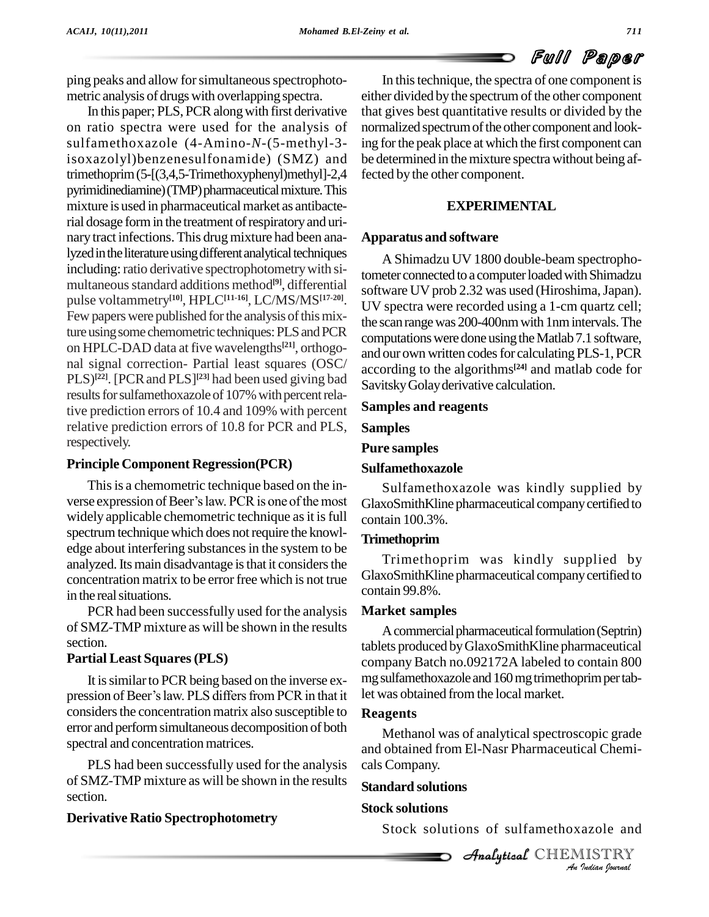# Full Paper

ping peaks and allow for simultaneous spectrophotometric analysis of drugs with overlapping spectra.

In this paper; PLS, PCR along with first derivative on ratio spectra were used for the analysis of sulfamethoxazole (4-Amino-*N-*(5-methyl-3 isoxazolyl)benzenesulfonamide) (SMZ) and trimethoprim(5-[(3,4,5-Trimethoxyphenyl)methyl]-2,4 pyrimidinediamine) (TMP) pharmaceutical mixture. This mixture is used in pharmaceutical market as antibacterial dosage form in the treatment of respiratory and urinary tract infections. This drug mixture had been analyzed in the literature using different analytical techniques including: ratio derivative spectrophotometry with simultaneous standard additions method<sup>[9]</sup>, differential pulse voltammetry **[10]**, HPLC**[11-16]**, LC/MS/MS **[17-20]**. Few papers were published for the analysis of this mixture using some chemometric techniques: PLS and PCR on HPLC-DAD data at five wavelengths **[21]**, orthogo nal signal correction- Partial least squares (OSC/  $PLS$ <sup>[22]</sup>. [PCR and PLS]<sup>[23]</sup> had been used giving bad  $\frac{1}{\sqrt{2}}$ results for sulfamethoxazole of 107% with percent relative prediction errors of 10.4 and 109% with percent relative prediction errors of 10.8 for PCR and PLS, respectively.

## **Principle Component Regression(PCR)**

This is a chemometric technique based on the inverse expression of Beer's law. PCR is one of the most widely applicable chemometric technique as it is full spectrum technique which does not require the knowledge about interfering substances in the system to be analyzed. Its main disadvantage is that it considers the concentration matrix to be error free which is not true in the real situations.

PCR had been successfully used for the analysis of SMZ-TMP mixture as will be shown in the results section.

## **Partial Least Squares(PLS)**

It is similar to PCR being based on the inverse expression of Beer's law. PLS differs from PCR in that it considers the concentration matrix also susceptible to error and performsimultaneous decomposition of both spectral and concentration matrices.

PLS had been successfully used for the analysis of SMZ-TMP mixture as will be shown in the results section.

## **Derivative Ratio Spectrophotometry**

In thistechnique, the spectra of one component is either divided by the spectrum of the other component that gives best quantitative results or divided by the normalized spectrum of the other component and looking for the peak place at which the first component can be determined in the mixture spectra without being affected by the other component.

### **EXPERIMENTAL**

#### **Apparatus and software**

A Shimadzu UV 1800 double-beam spectrophotometer connected to a computer loaded with Shimadzu software UV prob 2.32 was used (Hiroshima, Japan). UV spectra were recorded using a 1-cm quartz cell; the scanrangewas 200-400nmwith 1nmintervals.The computations were done using the Matlab 7.1 software, and our own written codes for calculating PLS-1, PCR according to the algorithms **[24]** and matlab code for SavitskyGolayderivative calculation.

## **Samples and reagents**

#### **Samples**

#### **Pure samples**

## **Sulfamethoxazole**

Sulfamethoxazole was kindly supplied by GlaxoSmithKline pharmaceutical companycertified to contain 100.3%.

## **Trimethoprim**

Trimethoprim was kindly supplied by GlaxoSmithKline pharmaceutical companycertified to contain 99.8%.

#### **Market samples**

A commercial pharmaceutical formulation (Septrin) tablets produced byGlaxoSmithKline pharmaceutical companyBatch no.092172A labeled to contain 800 mg sulfamethoxazole and 160 mg trimethoprim per tablet was obtained from the local market.

## **Reagents**

Methanol was of analytical spectroscopic grade and obtained from El-Nasr Pharmaceutical Chemicals Company.

## **Standard solutions**

## **Stock solutions**

Stock solutions of sulfamethoxazole and

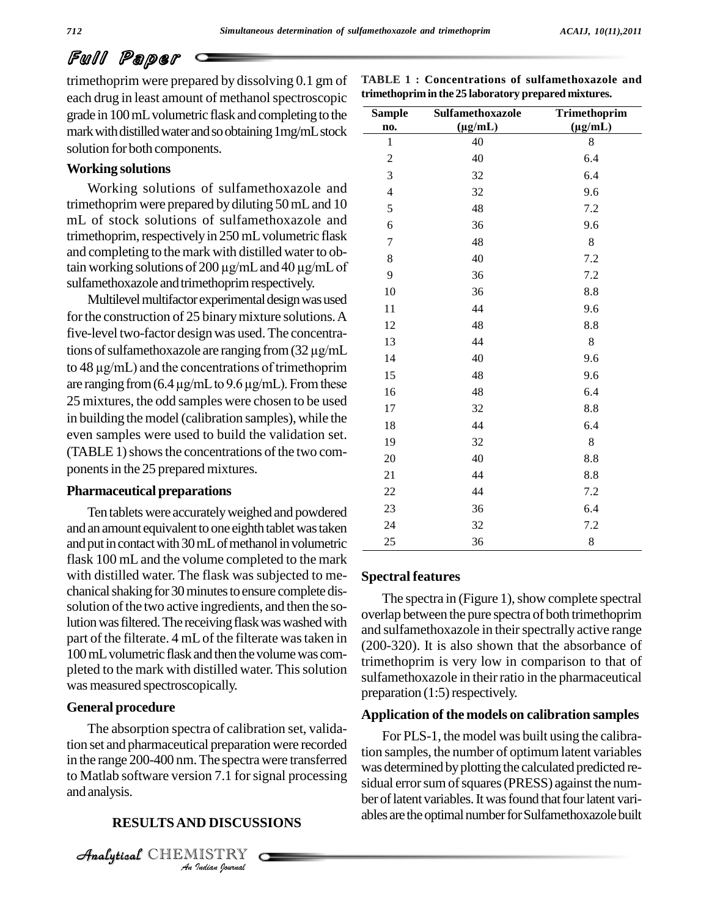## Full Paper

trimethoprim were prepared by dissolving 0.1 gm of each drug in least amount of methanol spectroscopic grade in 100mLvolumetric flask andcompleting to the mark with distilled water and so obtaining 1mg/mL stock solution for both components.

#### **Working solutions**

Working solutions of sulfamethoxazole and trimethoprim were prepared by diluting 50mLand 10 mL of stock solutions of sulfamethoxazole and trimethoprim, respectively in 250 mL volumetric flask and completing to the mark with distilled water to obtain working solutions of 200  $\mu$ g/mL and 40  $\mu$ g/mL of sulfamethoxazole and trimethoprim respectively.

Multilevel multifactor experimental design was used for the construction of 25 binary mixture solutions. A five-level two-factor designwas used.The concentrafor the construction of 25 binary mixture solutions. A<br>five-level two-factor design was used. The concentra-<br>tions of sulfamethoxazole are ranging from  $(32 \mu g/mL$ five-level two-factor design was used. The concentra-<br>tions of sulfamethoxazole are ranging from  $(32 \mu g/mL$ <br>to  $48 \mu g/mL)$  and the concentrations of trimethoprim tions of sulfamethoxazole are ranging from  $(32 \mu g/mL)$ <br>to 48  $\mu g/mL)$  and the concentrations of trimethoprim<br>are ranging from  $(6.4 \mu g/mL)$  to 9.6  $\mu g/mL)$ . From these 25 mixtures, the odd samples were chosen to be used in building the model (calibration samples), while the even samples were used to build the validation set.  $(TABLE 1)$  shows the concentrations of the two components in the 25 prepared mixtures.

#### **Pharmaceutical preparations**

Ten tabletswere accuratelyweighed and powdered and an amount equivalent to one eighth tablet was taken and put in contact with 30 mL of methanol in volumetric flask 100 mL and the volume completed to the mark with distilled water. The flask was subjected to me chanical shaking for 30 minutes to ensure complete dissolution of the two active ingredients, and then the solution was filtered. The receiving flask was washed with part of the filterate. 4 mLof the filterate wastaken in 100 mL volumetric flask and then the volume was completed to the mark with distilled water. This solution was measured spectroscopically.

#### **General procedure**

<sup>Was det</sup><br>to Matlab software version 7.1 for signal processing *I*<br>**ID DISCUS:**<br>ILSTRY<br>*Indian hournal* The absorption spectra of calibration set, validation set and pharmaceutical preparation were recorded and analysis.

#### **RESULTSAND DISCUSSIONS**

CHEMISTRY

| <b>Sample</b><br>no.    | Sulfamethoxazole<br>$(\mu g/mL)$ | Trimethoprim<br>$(\mu g/mL)$ |
|-------------------------|----------------------------------|------------------------------|
| $\mathbf{1}$            | 40                               | 8                            |
| $\boldsymbol{2}$        | 40                               | 6.4                          |
| 3                       | 32                               | 6.4                          |
| $\overline{\mathbf{4}}$ | 32                               | 9.6                          |
| 5                       | 48                               | 7.2                          |
| 6                       | 36                               | 9.6                          |
| $\overline{7}$          | 48                               | 8                            |
| 8                       | 40                               | 7.2                          |
| 9                       | 36                               | 7.2                          |
| 10                      | 36                               | 8.8                          |
| 11                      | 44                               | 9.6                          |
| 12                      | 48                               | 8.8                          |
| 13                      | 44                               | $8\,$                        |
| 14                      | 40                               | 9.6                          |
| 15                      | 48                               | 9.6                          |
| 16                      | 48                               | 6.4                          |
| 17                      | 32                               | 8.8                          |
| 18                      | 44                               | 6.4                          |
| 19                      | 32                               | 8                            |
| 20                      | 40                               | 8.8                          |
| 21                      | 44                               | 8.8                          |
| 22                      | 44                               | 7.2                          |
| 23                      | 36                               | 6.4                          |
| 24                      | 32                               | 7.2                          |
| 25                      | 36                               | 8                            |

**TABLE 1 : Concentrations of sulfamethoxazole and**

#### **Spectral features**

The spectra in (Figure 1), show complete spectral overlap between the pure spectra of both trimethoprim and sulfamethoxazole in their spectrally active range (200-320). It is also shown that the absorbance of trimethoprim is very low in comparison to that of sulfamethoxazole in their ratio in the pharmaceutical preparation  $(1:5)$  respectively.

#### **Application of the models on calibration samples**

in the range 200-400 nm. The spectra were transferred<br>was determined by plotting the calculated predicted re-For PLS-1, the model was built using the calibration samples, the number of optimumlatent variables sidual error sum of squares (PRESS) against the number of latent variables. It was found that four latent variables are the optimal number for Sulfamethoxazole built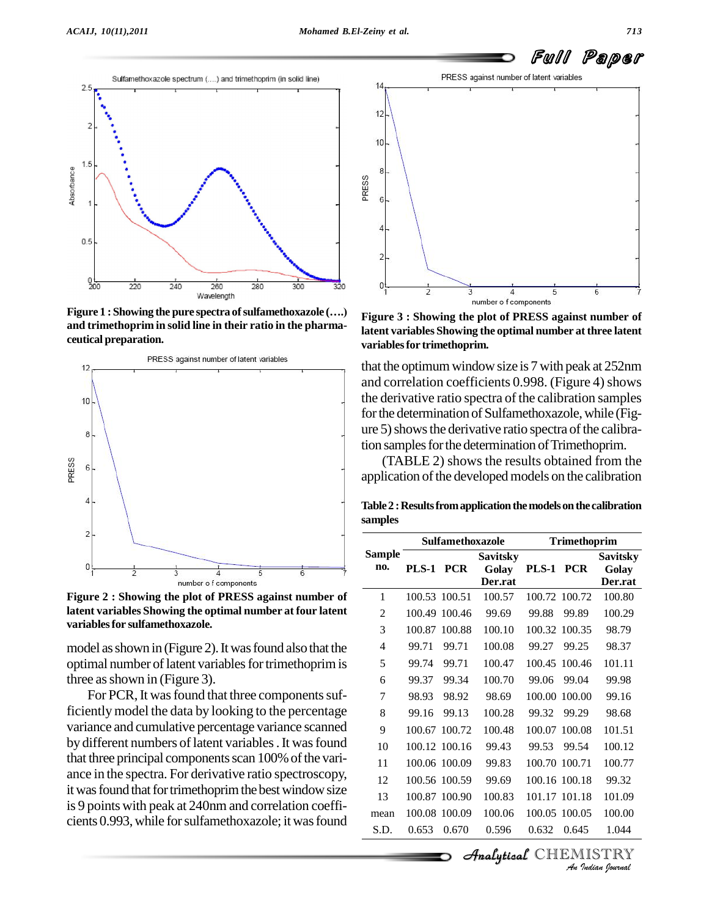

**and trimethoprim in solid line in their ratio in the pharma ceutical preparation.**



**Figure 2 : Showing the plot of PRESS against number of latent variables Showing the optimal number at four latent variablesfor sulfamethoxazole.**

model as shown in (Figure 2). It was found also that the optimal number of latent variables for trimethoprim is three as shown in (Figure 3).

For PCR, It was found that three components sufficientlymodel the data by looking to the percentage variance and cumulative percentage variance scanned by different numbers of latent variables. It was found that three principal components scan 100% of the variance in the spectra. For derivative ratio spectroscopy, it was found that for trimethoprim the best window size is 9 points with peak at 240nm and correlation coeffi cients 0.993, while for sulfamethoxazole; it was found



**Figure 3 : Showing the plot of PRESS against number of latent variables Showing the optimal number at three latent variablesfor trimethoprim.**

that the optimum window size is 7 with peak at 252nm and correlation coefficients 0.998. (Figure 4) shows the derivative ratio spectra of the calibration samples for the determination of Sulfamethoxazole, while (Figure 5) shows the derivative ratio spectra of the calibration samples for the determination of Trimethoprim.

(TABLE 2) shows the results obtained from the application of the developed models on the calibration

**Table2 :Resultsfromapplicationthemodelsonthe calibration samples**

|                      | <b>Sulfamethoxazole</b> |               |                             | <b>Trimethoprim</b> |               |                  |
|----------------------|-------------------------|---------------|-----------------------------|---------------------|---------------|------------------|
| <b>Sample</b><br>no. |                         |               | <b>Savitsky</b>             |                     |               | <b>Savitsky</b>  |
|                      | <b>PLS-1</b>            | <b>PCR</b>    | Golay<br>Der.rat            | <b>PLS-1</b>        | <b>PCR</b>    | Golay<br>Der.rat |
| 1                    | 100.53 100.51           |               | 100.57                      |                     | 100.72 100.72 | 100.80           |
| 2                    | 100.49                  | 100.46        | 99.69                       | 99.88               | 99.89         | 100.29           |
| 3                    | 100.87                  | 100.88        | 100.10                      |                     | 100.32 100.35 | 98.79            |
| 4                    | 99.71                   | 99.71         | 100.08                      | 99.27               | 99.25         | 98.37            |
| 5                    | 99.74                   | 99.71         | 100.47                      | 100.45              | 100.46        | 101.11           |
| 6                    | 99.37                   | 99.34         | 100.70                      | 99.06               | 99.04         | 99.98            |
| 7                    | 98.93                   | 98.92         | 98.69                       | 100.00              | 100.00        | 99.16            |
| 8                    | 99.16                   | 99.13         | 100.28                      | 99.32               | 99.29         | 98.68            |
| 9                    | 100.67                  | 100.72        | 100.48                      | 100.07              | 100.08        | 101.51           |
| 10                   |                         | 100.12 100.16 | 99.43                       | 99.53               | 99.54         | 100.12           |
| 11                   |                         | 100.06 100.09 | 99.83                       | 100.70 100.71       |               | 100.77           |
| 12                   |                         | 100.56 100.59 | 99.69                       |                     | 100.16 100.18 | 99.32            |
| 13                   |                         | 100.87 100.90 | 100.83                      |                     | 101.17 101.18 | 101.09           |
| mean                 |                         | 100.08 100.09 | 100.06                      |                     | 100.05 100.05 | 100.00           |
| S.D.                 | 0.653                   | 0.670         | 0.596                       | 0.632               | 0.645         | 1.044            |
|                      |                         |               | <b>Analytical</b> CHEMISTRY |                     |               |                  |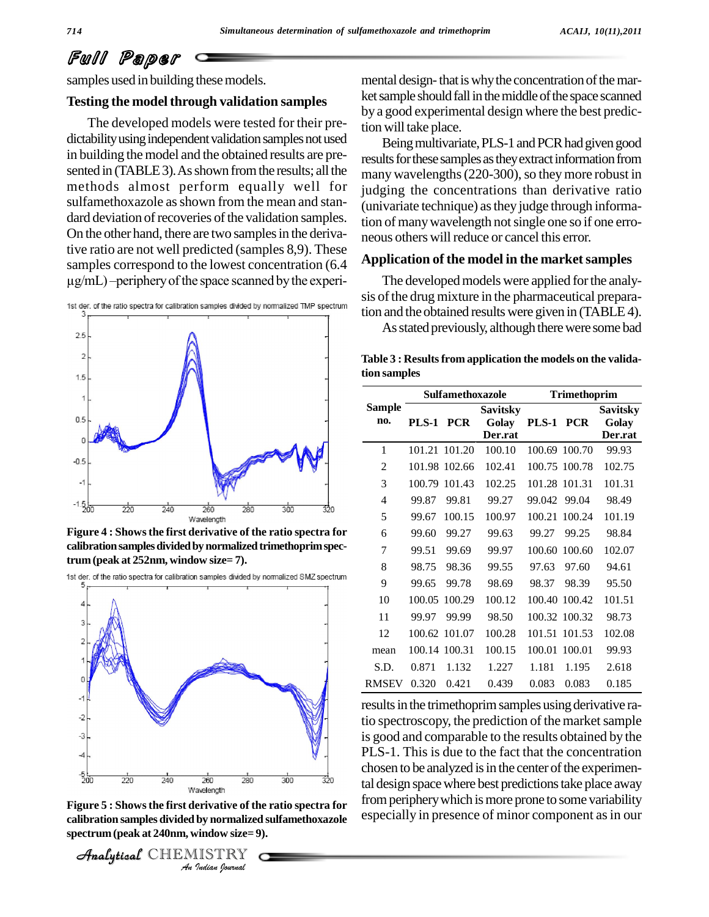## Full Paper

samples used in building these models.

#### **Testing the modelthrough validation samples**

The developed models were tested for their pre dictability using independent validation samples not used in building the model and the obtained results are presented in (TABLE 3). As shown from the results; all the methods almost perform equally well for sulfamethoxazole as shown from the mean and standard deviation of recoveries of the validation samples. On the other hand, there are two samples in the derivative ratio are not well predicted (samples 8,9). These<br>samples correspond to the lowest concentration (6.4 **Appli**<br> $\mu$ g/mL) –periphery of the space scanned by the experisamples correspond to the lowest concentration (6.4



**Figure 4 : Showsthe first derivative of the ratio spectra for** calibration samples divided by normalized trimethoprim spec**trum(peak at 252nm, window size= 7).**





<sup>260</sup><sup>280</sup><br> *a*welength<br> **erivative of the**<br> **by normalized<br>
vindow size=9**<br>
IISTRY **Figure 5 : Showsthe first derivative of the ratio spectra for calibration samples divided by normalized sulfamethoxazole spectrum (peak at 240nm, window size= 9).**

CHEMISTRY

mental design-that is why the concentration of the market sample should fall in the middle of the space scanned by a good experimental design where the best prediction will take place.

Being multivariate, PLS-1 and PCR had given good results for these samples as they extract information from many wavelengths (220-300), so they more robust in judging the concentrations than derivative ratio (univariate technique) asthey judge through information of many wavelength not single one so if one erroneous others will reduce or cancel this error.

#### **Application of the model in the marketsamples**

The developed models were applied for the analysis of the drug mixture in the pharmaceutical preparation and the obtained results were given in (TABLE4).

As stated previously, although there were some bad

**Table 3 : Resultsfrom application the models on the validation samples**

|               | Sulfamethoxazole |               |                                     | <b>Trimethoprim</b> |               |                                     |  |
|---------------|------------------|---------------|-------------------------------------|---------------------|---------------|-------------------------------------|--|
| Sample<br>no. | PLS-1 PCR        |               | <b>Savitsky</b><br>Golay<br>Der.rat | <b>PLS-1 PCR</b>    |               | <b>Savitsky</b><br>Golav<br>Der.rat |  |
| 1             |                  | 101.21 101.20 | 100.10                              |                     | 100.69 100.70 | 99.93                               |  |
| 2             |                  | 101.98 102.66 | 102.41                              |                     | 100.75 100.78 | 102.75                              |  |
| 3             | 100.79           | 101.43        | 102.25                              | 101.28 101.31       |               | 101.31                              |  |
| 4             | 99.87            | 99.81         | 99.27                               | 99.042 99.04        |               | 98.49                               |  |
| 5             | 99.67            | 100.15        | 100.97                              | 100.21              | 100.24        | 101.19                              |  |
| 6             | 99.60            | 99.27         | 99.63                               | 99.27               | 99.25         | 98.84                               |  |
| 7             | 99.51            | 99.69         | 99.97                               | 100.60              | 100.60        | 102.07                              |  |
| 8             | 98.75            | 98.36         | 99.55                               | 97.63               | 97.60         | 94.61                               |  |
| 9             | 99.65            | 99.78         | 98.69                               | 98.37               | 98.39         | 95.50                               |  |
| 10            | 100.05           | 100.29        | 100.12                              |                     | 100.40 100.42 | 101.51                              |  |
| 11            | 99.97            | 99.99         | 98.50                               |                     | 100.32 100.32 | 98.73                               |  |
| 12            |                  | 100.62 101.07 | 100.28                              |                     | 101.51 101.53 | 102.08                              |  |
| mean          |                  | 100.14 100.31 | 100.15                              | 100.01              | 100.01        | 99.93                               |  |
| S.D.          | 0.871            | 1.132         | 1.227                               | 1.181               | 1.195         | 2.618                               |  |
| RMSEV         | 0.320            | 0.421         | 0.439                               | 0.083               | 0.083         | 0.185                               |  |

results in the trimethoprim samples using derivative ratio spectroscopy, the prediction of the market sample is good and comparable to the results obtained by the PLS-1. This is due to the fact that the concentration chosen to be analyzed is in the center of the experimental design space where best predictions take place away from periphery which is more prone to some variability especially in presence of minor component as in our